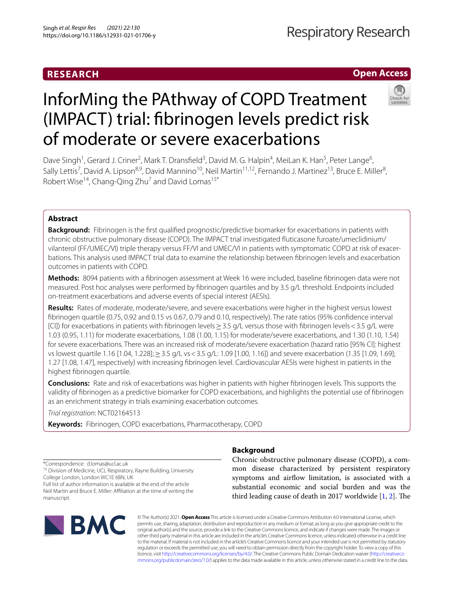# **RESEARCH**

# **Open Access**



# InforMing the PAthway of COPD Treatment (IMPACT) trial: fbrinogen levels predict risk of moderate or severe exacerbations

Dave Singh<sup>1</sup>, Gerard J. Criner<sup>2</sup>, Mark T. Dransfield<sup>3</sup>, David M. G. Halpin<sup>4</sup>, MeiLan K. Han<sup>5</sup>, Peter Lange<sup>6</sup>, Sally Lettis<sup>7</sup>, David A. Lipson<sup>8,9</sup>, David Mannino<sup>10</sup>, Neil Martin<sup>11,12</sup>, Fernando J. Martinez<sup>13</sup>, Bruce E. Miller<sup>8</sup>, Robert Wise<sup>14</sup>, Chang-Qing Zhu<sup>7</sup> and David Lomas<sup>15\*</sup>

## **Abstract**

**Background:** Fibrinogen is the frst qualifed prognostic/predictive biomarker for exacerbations in patients with chronic obstructive pulmonary disease (COPD). The IMPACT trial investigated futicasone furoate/umeclidinium/ vilanterol (FF/UMEC/VI) triple therapy versus FF/VI and UMEC/VI in patients with symptomatic COPD at risk of exacerbations. This analysis used IMPACT trial data to examine the relationship between fbrinogen levels and exacerbation outcomes in patients with COPD.

**Methods:** 8094 patients with a fbrinogen assessment at Week 16 were included, baseline fbrinogen data were not measured. Post hoc analyses were performed by fbrinogen quartiles and by 3.5 g/L threshold. Endpoints included on-treatment exacerbations and adverse events of special interest (AESIs).

**Results:** Rates of moderate, moderate/severe, and severe exacerbations were higher in the highest versus lowest fbrinogen quartile (0.75, 0.92 and 0.15 vs 0.67, 0.79 and 0.10, respectively). The rate ratios (95% confdence interval [CI]) for exacerbations in patients with fbrinogen levels≥3.5 g/L versus those with fbrinogen levels<3.5 g/L were 1.03 (0.95, 1.11) for moderate exacerbations, 1.08 (1.00, 1.15) for moderate/severe exacerbations, and 1.30 (1.10, 1.54) for severe exacerbations. There was an increased risk of moderate/severe exacerbation (hazard ratio [95% CI]: highest vs lowest quartile 1.16 [1.04, 1.228];≥3.5 g/L vs<3.5 g/L: 1.09 [1.00, 1.16]) and severe exacerbation (1.35 [1.09, 1.69]; 1.27 [1.08, 1.47], respectively) with increasing fbrinogen level. Cardiovascular AESIs were highest in patients in the highest fbrinogen quartile.

**Conclusions:** Rate and risk of exacerbations was higher in patients with higher fbrinogen levels. This supports the validity of fbrinogen as a predictive biomarker for COPD exacerbations, and highlights the potential use of fbrinogen as an enrichment strategy in trials examining exacerbation outcomes.

*Trial registration*: NCT02164513

**Keywords:** Fibrinogen, COPD exacerbations, Pharmacotherapy, COPD

\*Correspondence: d.lomas@ucl.ac.uk

<sup>15</sup> Division of Medicine, UCL Respiratory, Rayne Building, University College London, London WC1E 6BN, UK

Full list of author information is available at the end of the article Neil Martin and Bruce E. Miller: Afliation at the time of writing the manuscript.



# **Background**

Chronic obstructive pulmonary disease (COPD), a common disease characterized by persistent respiratory symptoms and airfow limitation, is associated with a substantial economic and social burden and was the third leading cause of death in [2](#page-12-1)017 worldwide  $[1, 2]$  $[1, 2]$  $[1, 2]$ . The

© The Author(s) 2021. **Open Access** This article is licensed under a Creative Commons Attribution 4.0 International License, which permits use, sharing, adaptation, distribution and reproduction in any medium or format, as long as you give appropriate credit to the original author(s) and the source, provide a link to the Creative Commons licence, and indicate if changes were made. The images or other third party material in this article are included in the article's Creative Commons licence, unless indicated otherwise in a credit line to the material. If material is not included in the article's Creative Commons licence and your intended use is not permitted by statutory regulation or exceeds the permitted use, you will need to obtain permission directly from the copyright holder. To view a copy of this licence, visit [http://creativecommons.org/licenses/by/4.0/.](http://creativecommons.org/licenses/by/4.0/) The Creative Commons Public Domain Dedication waiver ([http://creativeco](http://creativecommons.org/publicdomain/zero/1.0/) [mmons.org/publicdomain/zero/1.0/](http://creativecommons.org/publicdomain/zero/1.0/)) applies to the data made available in this article, unless otherwise stated in a credit line to the data.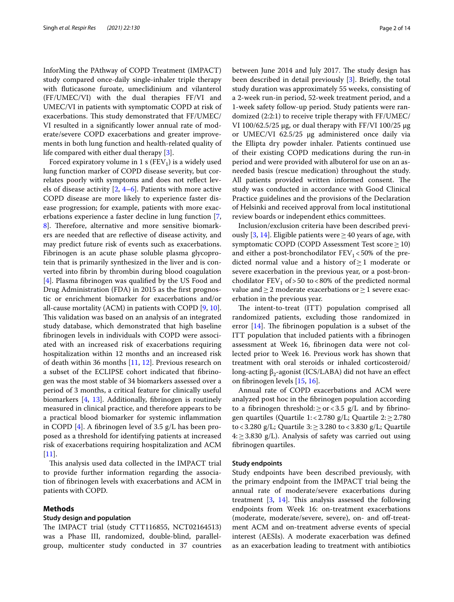InforMing the PAthway of COPD Treatment (IMPACT) study compared once-daily single-inhaler triple therapy with futicasone furoate, umeclidinium and vilanterol (FF/UMEC/VI) with the dual therapies FF/VI and UMEC/VI in patients with symptomatic COPD at risk of exacerbations. This study demonstrated that FF/UMEC/ VI resulted in a signifcantly lower annual rate of moderate/severe COPD exacerbations and greater improvements in both lung function and health-related quality of life compared with either dual therapy [[3\]](#page-12-2).

Forced expiratory volume in 1 s ( $FEV<sub>1</sub>$ ) is a widely used lung function marker of COPD disease severity, but correlates poorly with symptoms and does not refect levels of disease activity [\[2](#page-12-1), [4](#page-12-3)[–6](#page-12-4)]. Patients with more active COPD disease are more likely to experience faster disease progression; for example, patients with more exacerbations experience a faster decline in lung function [\[7](#page-12-5), 8. Therefore, alternative and more sensitive biomarkers are needed that are refective of disease activity, and may predict future risk of events such as exacerbations. Fibrinogen is an acute phase soluble plasma glycoprotein that is primarily synthesized in the liver and is converted into fbrin by thrombin during blood coagulation [[4\]](#page-12-3). Plasma fbrinogen was qualifed by the US Food and Drug Administration (FDA) in 2015 as the frst prognostic or enrichment biomarker for exacerbations and/or all-cause mortality (ACM) in patients with COPD [[9,](#page-12-7) [10](#page-12-8)]. This validation was based on an analysis of an integrated study database, which demonstrated that high baseline fbrinogen levels in individuals with COPD were associated with an increased risk of exacerbations requiring hospitalization within 12 months and an increased risk of death within 36 months [[11,](#page-12-9) [12](#page-12-10)]. Previous research on a subset of the ECLIPSE cohort indicated that fbrinogen was the most stable of 34 biomarkers assessed over a period of 3 months, a critical feature for clinically useful biomarkers  $[4, 13]$  $[4, 13]$  $[4, 13]$  $[4, 13]$ . Additionally, fibrinogen is routinely measured in clinical practice, and therefore appears to be a practical blood biomarker for systemic infammation in COPD [\[4\]](#page-12-3). A fbrinogen level of 3.5 g/L has been proposed as a threshold for identifying patients at increased risk of exacerbations requiring hospitalization and ACM [[11\]](#page-12-9).

This analysis used data collected in the IMPACT trial to provide further information regarding the association of fbrinogen levels with exacerbations and ACM in patients with COPD.

### **Methods**

## **Study design and population**

The IMPACT trial (study CTT116855, NCT02164513) was a Phase III, randomized, double-blind, parallelgroup, multicenter study conducted in 37 countries between June 2014 and July 2017. The study design has been described in detail previously [[3\]](#page-12-2). Briefy, the total study duration was approximately 55 weeks, consisting of a 2-week run-in period, 52-week treatment period, and a 1-week safety follow-up period. Study patients were randomized (2:2:1) to receive triple therapy with FF/UMEC/ VI 100/62.5/25  $\mu$ g, or dual therapy with FF/VI 100/25  $\mu$ g or UMEC/VI 62.5/25 µg administered once daily via the Ellipta dry powder inhaler. Patients continued use of their existing COPD medications during the run-in period and were provided with albuterol for use on an asneeded basis (rescue medication) throughout the study. All patients provided written informed consent. The study was conducted in accordance with Good Clinical Practice guidelines and the provisions of the Declaration of Helsinki and received approval from local institutional review boards or independent ethics committees.

Inclusion/exclusion criteria have been described previ-ously [[3,](#page-12-2) [14](#page-12-12)]. Eligible patients were  $\geq$  40 years of age, with symptomatic COPD (COPD Assessment Test score  $\geq$  10) and either a post-bronchodilator  $FEV_1 < 50\%$  of the predicted normal value and a history of $\geq$ 1 moderate or severe exacerbation in the previous year, or a post-bronchodilator  $FEV_1$  of  $>50$  to  $< 80\%$  of the predicted normal value and  $≥$  2 moderate exacerbations or  $≥$  1 severe exacerbation in the previous year.

The intent-to-treat (ITT) population comprised all randomized patients, excluding those randomized in error  $[14]$  $[14]$  $[14]$ . The fibrinogen population is a subset of the ITT population that included patients with a fbrinogen assessment at Week 16, fbrinogen data were not collected prior to Week 16. Previous work has shown that treatment with oral steroids or inhaled corticosteroid/ long-acting  $β_2$ -agonist (ICS/LABA) did not have an effect on fbrinogen levels [\[15](#page-12-13), [16](#page-12-14)].

Annual rate of COPD exacerbations and ACM were analyzed post hoc in the fbrinogen population according to a fibrinogen threshold: $\geq$  or < 3.5 g/L and by fibrinogen quartiles (Quartile 1:<2.780 g/L; Quartile  $2: \geq 2.780$ to<3.280 g/L; Quartile 3:≥3.280 to<3.830 g/L; Quartile  $4: \geq 3.830$  g/L). Analysis of safety was carried out using fbrinogen quartiles.

## **Study endpoints**

Study endpoints have been described previously, with the primary endpoint from the IMPACT trial being the annual rate of moderate/severe exacerbations during treatment  $[3, 14]$  $[3, 14]$  $[3, 14]$ . This analysis assessed the following endpoints from Week 16: on-treatment exacerbations (moderate, moderate/severe, severe), on- and off-treatment ACM and on-treatment adverse events of special interest (AESIs). A moderate exacerbation was defned as an exacerbation leading to treatment with antibiotics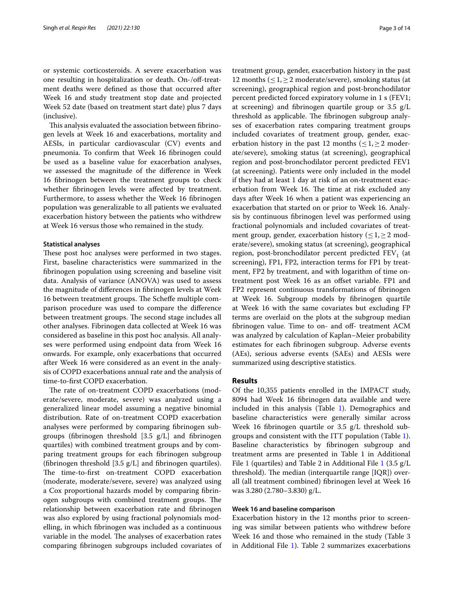or systemic corticosteroids. A severe exacerbation was one resulting in hospitalization or death. On-/off-treatment deaths were defned as those that occurred after Week 16 and study treatment stop date and projected Week 52 date (based on treatment start date) plus 7 days (inclusive).

This analysis evaluated the association between fibrinogen levels at Week 16 and exacerbations, mortality and AESIs, in particular cardiovascular (CV) events and pneumonia. To confrm that Week 16 fbrinogen could be used as a baseline value for exacerbation analyses, we assessed the magnitude of the diference in Week 16 fbrinogen between the treatment groups to check whether fbrinogen levels were afected by treatment. Furthermore, to assess whether the Week 16 fbrinogen population was generalizable to all patients we evaluated exacerbation history between the patients who withdrew at Week 16 versus those who remained in the study.

## **Statistical analyses**

These post hoc analyses were performed in two stages. First, baseline characteristics were summarized in the fbrinogen population using screening and baseline visit data. Analysis of variance (ANOVA) was used to assess the magnitude of diferences in fbrinogen levels at Week 16 between treatment groups. The Scheffe multiple comparison procedure was used to compare the diference between treatment groups. The second stage includes all other analyses. Fibrinogen data collected at Week 16 was considered as baseline in this post hoc analysis. All analyses were performed using endpoint data from Week 16 onwards. For example, only exacerbations that occurred after Week 16 were considered as an event in the analysis of COPD exacerbations annual rate and the analysis of time-to-frst COPD exacerbation.

The rate of on-treatment COPD exacerbations (moderate/severe, moderate, severe) was analyzed using a generalized linear model assuming a negative binomial distribution. Rate of on-treatment COPD exacerbation analyses were performed by comparing fbrinogen subgroups (fbrinogen threshold [3.5 g/L] and fbrinogen quartiles) with combined treatment groups and by comparing treatment groups for each fbrinogen subgroup (fibrinogen threshold  $[3.5 \text{ g/L}]$  and fibrinogen quartiles). The time-to-first on-treatment COPD exacerbation (moderate, moderate/severe, severe) was analyzed using a Cox proportional hazards model by comparing fbrinogen subgroups with combined treatment groups. The relationship between exacerbation rate and fbrinogen was also explored by using fractional polynomials modelling, in which fbrinogen was included as a continuous variable in the model. The analyses of exacerbation rates comparing fbrinogen subgroups included covariates of treatment group, gender, exacerbation history in the past 12 months (≤1,≥2 moderate/severe), smoking status (at screening), geographical region and post-bronchodilator percent predicted forced expiratory volume in 1 s (FEV1; at screening) and fbrinogen quartile group or 3.5 g/L threshold as applicable. The fibrinogen subgroup analyses of exacerbation rates comparing treatment groups included covariates of treatment group, gender, exacerbation history in the past 12 months ( $\leq 1, \geq 2$  moderate/severe), smoking status (at screening), geographical region and post-bronchodilator percent predicted FEV1 (at screening). Patients were only included in the model if they had at least 1 day at risk of an on-treatment exacerbation from Week 16. The time at risk excluded any days after Week 16 when a patient was experiencing an exacerbation that started on or prior to Week 16. Analysis by continuous fbrinogen level was performed using fractional polynomials and included covariates of treatment group, gender, exacerbation history ( $\leq 1, \geq 2$  moderate/severe), smoking status (at screening), geographical region, post-bronchodilator percent predicted  $FEV<sub>1</sub>$  (at screening), FP1, FP2, interaction terms for FP1 by treatment, FP2 by treatment, and with logarithm of time ontreatment post Week 16 as an offset variable. FP1 and FP2 represent continuous transformations of fbrinogen at Week 16. Subgroup models by fbrinogen quartile at Week 16 with the same covariates but excluding FP terms are overlaid on the plots at the subgroup median fibrinogen value. Time to on- and off- treatment ACM was analyzed by calculation of Kaplan–Meier probability estimates for each fbrinogen subgroup. Adverse events (AEs), serious adverse events (SAEs) and AESIs were summarized using descriptive statistics.

## **Results**

Of the 10,355 patients enrolled in the IMPACT study, 8094 had Week 16 fbrinogen data available and were included in this analysis (Table [1\)](#page-3-0). Demographics and baseline characteristics were generally similar across Week 16 fbrinogen quartile or 3.5 g/L threshold subgroups and consistent with the ITT population (Table [1](#page-3-0)). Baseline characteristics by fbrinogen subgroup and treatment arms are presented in Table 1 in Additional File [1](#page-11-0) (quartiles) and Table 2 in Additional File [1](#page-11-0) (3.5  $g/L$ ) threshold). The median (interquartile range  $[IQR]$ ) overall (all treatment combined) fbrinogen level at Week 16 was 3.280 (2.780–3.830) g/L.

## **Week 16 and baseline comparison**

Exacerbation history in the 12 months prior to screening was similar between patients who withdrew before Week 16 and those who remained in the study (Table 3 in Additional File [1\)](#page-11-0). Table [2](#page-4-0) summarizes exacerbations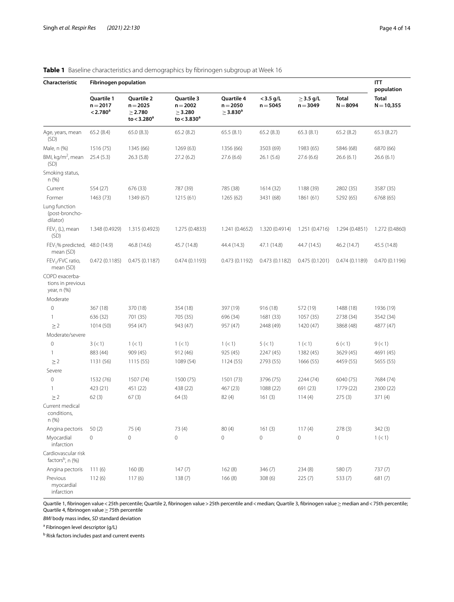| Characteristic                                      | <b>Fibrinogen population</b>                     |                                                                 |                                                                 |                                                       |                           |                              |                            |                                            |
|-----------------------------------------------------|--------------------------------------------------|-----------------------------------------------------------------|-----------------------------------------------------------------|-------------------------------------------------------|---------------------------|------------------------------|----------------------------|--------------------------------------------|
|                                                     | Quartile 1<br>$n = 2017$<br>< 2.780 <sup>a</sup> | Quartile 2<br>$n = 2025$<br>$\geq$ 2.780<br>to $<$ 3.280 $^{a}$ | Quartile 3<br>$n = 2002$<br>$\geq$ 3.280<br>to $<$ 3.830 $^{a}$ | Quartile 4<br>$n = 2050$<br>$\geq$ 3.830 <sup>a</sup> | $<$ 3.5 g/L<br>$n = 5045$ | $\geq$ 3.5 g/L<br>$n = 3049$ | <b>Total</b><br>$N = 8094$ | population<br><b>Total</b><br>$N = 10,355$ |
| Age, years, mean<br>(SD)                            | 65.2(8.4)                                        | 65.0(8.3)                                                       | 65.2(8.2)                                                       | 65.5(8.1)                                             | 65.2(8.3)                 | 65.3(8.1)                    | 65.2(8.2)                  | 65.3 (8.27)                                |
| Male, n (%)                                         | 1516 (75)                                        | 1345 (66)                                                       | 1269 (63)                                                       | 1356 (66)                                             | 3503 (69)                 | 1983 (65)                    | 5846 (68)                  | 6870 (66)                                  |
| BMI, kg/m <sup>2</sup> , mean<br>(SD)               | 25.4(5.3)                                        | 26.3(5.8)                                                       | 27.2(6.2)                                                       | 27.6(6.6)                                             | 26.1(5.6)                 | 27.6(6.6)                    | 26.6(6.1)                  | 26.6(6.1)                                  |
| Smoking status,<br>n (%)                            |                                                  |                                                                 |                                                                 |                                                       |                           |                              |                            |                                            |
| Current                                             | 554 (27)                                         | 676 (33)                                                        | 787 (39)                                                        | 785 (38)                                              | 1614 (32)                 | 1188 (39)                    | 2802 (35)                  | 3587 (35)                                  |
| Former                                              | 1463 (73)                                        | 1349 (67)                                                       | 1215(61)                                                        | 1265 (62)                                             | 3431 (68)                 | 1861 (61)                    | 5292 (65)                  | 6768 (65)                                  |
| Lung function<br>(post-broncho-<br>dilator)         |                                                  |                                                                 |                                                                 |                                                       |                           |                              |                            |                                            |
| $FEV1$ (L), mean<br>(SD)                            | 1.348 (0.4929)                                   | 1.315 (0.4923)                                                  | 1.275 (0.4833)                                                  | 1.241 (0.4652)                                        | 1.320 (0.4914)            | 1.251 (0.4716)               | 1.294 (0.4851)             | 1.272 (0.4860)                             |
| FEV <sub>1</sub> % predicted,<br>mean (SD)          | 48.0 (14.9)                                      | 46.8 (14.6)                                                     | 45.7 (14.8)                                                     | 44.4 (14.3)                                           | 47.1 (14.8)               | 44.7 (14.5)                  | 46.2 (14.7)                | 45.5 (14.8)                                |
| FEV <sub>1</sub> /FVC ratio,<br>mean (SD)           | 0.472(0.1185)                                    | 0.475(0.1187)                                                   | 0.474(0.1193)                                                   | 0.473(0.1192)                                         | 0.473(0.1182)             | 0.475(0.1201)                | 0.474(0.1189)              | 0.470 (0.1196)                             |
| COPD exacerba-<br>tions in previous<br>year, n (%)  |                                                  |                                                                 |                                                                 |                                                       |                           |                              |                            |                                            |
| Moderate                                            |                                                  |                                                                 |                                                                 |                                                       |                           |                              |                            |                                            |
| $\mathbf 0$                                         | 367 (18)                                         | 370 (18)                                                        | 354 (18)                                                        | 397 (19)                                              | 916(18)                   | 572 (19)                     | 1488 (18)                  | 1936 (19)                                  |
| 1                                                   | 636 (32)                                         | 701 (35)                                                        | 705 (35)                                                        | 696 (34)                                              | 1681 (33)                 | 1057 (35)                    | 2738 (34)                  | 3542 (34)                                  |
| $\geq$ 2                                            | 1014 (50)                                        | 954 (47)                                                        | 943 (47)                                                        | 957 (47)                                              | 2448 (49)                 | 1420 (47)                    | 3868 (48)                  | 4877 (47)                                  |
| Moderate/severe                                     |                                                  |                                                                 |                                                                 |                                                       |                           |                              |                            |                                            |
| $\mathbf 0$                                         | 3 (< 1)                                          | 1 (< 1)                                                         | 1 (< 1)                                                         | 1 (< 1)                                               | 5 (< 1)                   | 1 (< 1)                      | 6 (< 1)                    | 9 (< 1)                                    |
| 1                                                   | 883 (44)                                         | 909 (45)                                                        | 912 (46)                                                        | 925 (45)                                              | 2247 (45)                 | 1382 (45)                    | 3629 (45)                  | 4691 (45)                                  |
| $\geq$ 2                                            | 1131 (56)                                        | 1115(55)                                                        | 1089 (54)                                                       | 1124(55)                                              | 2793 (55)                 | 1666 (55)                    | 4459 (55)                  | 5655 (55)                                  |
| Severe                                              |                                                  |                                                                 |                                                                 |                                                       |                           |                              |                            |                                            |
| $\mathbf 0$                                         | 1532 (76)                                        | 1507 (74)                                                       | 1500 (75)                                                       | 1501 (73)                                             | 3796 (75)                 | 2244 (74)                    | 6040 (75)                  | 7684 (74)                                  |
| 1                                                   | 423 (21)                                         | 451 (22)                                                        | 438 (22)                                                        | 467 (23)                                              | 1088 (22)                 | 691 (23)                     | 1779 (22)                  | 2300 (22)                                  |
| $\geq$ 2<br>Current medical<br>conditions,<br>n (%) | 62(3)                                            | 67(3)                                                           | 64(3)                                                           | 82(4)                                                 | 161(3)                    | 114(4)                       | 275(3)                     | 371 (4)                                    |
| Angina pectoris                                     | 50(2)                                            | 75 (4)                                                          | 73 (4)                                                          | 80(4)                                                 | 161(3)                    | 117(4)                       | 278(3)                     | 342(3)                                     |
| Myocardial<br>infarction                            | 0                                                | 0                                                               | $\circ$                                                         | $\circ$                                               | $\mathbf 0$               | $\mathbf 0$                  | $\mathbf 0$                | 1 (< 1)                                    |
| Cardiovascular risk<br>factors <sup>b</sup> , n (%) |                                                  |                                                                 |                                                                 |                                                       |                           |                              |                            |                                            |
| Angina pectoris                                     | 111(6)                                           | 160(8)                                                          | 147(7)                                                          | 162(8)                                                | 346 (7)                   | 234 (8)                      | 580 (7)                    | 737 (7)                                    |
| Previous<br>myocardial<br>infarction                | 112(6)                                           | 117(6)                                                          | 138(7)                                                          | 166(8)                                                | 308(6)                    | 225(7)                       | 533 (7)                    | 681 (7)                                    |

<span id="page-3-0"></span>**Table 1** Baseline characteristics and demographics by fibrinogen subgroup at Week 16

Quartile 1, fibrinogen value < 25th percentile; Quartile 2, fibrinogen value > 25th percentile and < median; Quartile 3, fibrinogen value ≥ median and < 75th percentile; Quartile 4, fbrinogen value≥75th percentile

*BMI* body mass index, *SD* standard deviation

<sup>a</sup> Fibrinogen level descriptor (g/L)

<sup>b</sup> Risk factors includes past and current events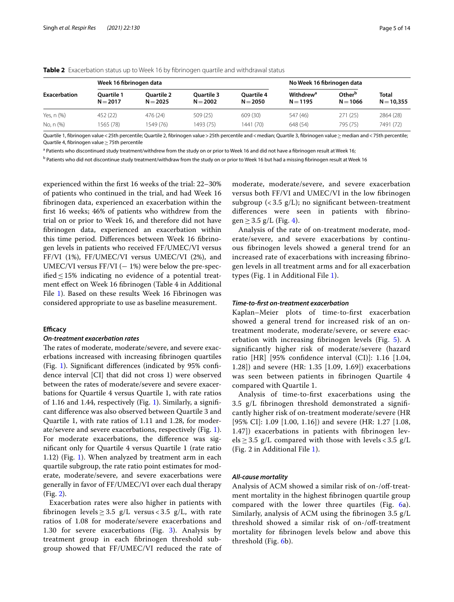|              | Week 16 fibrinogen data         |                                 |                                 | No Week 16 fibrinogen data      |                                           |                                  |                              |
|--------------|---------------------------------|---------------------------------|---------------------------------|---------------------------------|-------------------------------------------|----------------------------------|------------------------------|
| Exacerbation | <b>Ouartile 1</b><br>$N = 2017$ | <b>Ouartile 2</b><br>$N = 2025$ | <b>Ouartile 3</b><br>$N = 2002$ | <b>Ouartile 4</b><br>$N = 2050$ | <b>Withdrew<sup>a</sup></b><br>$N = 1195$ | Other <sup>b</sup><br>$N = 1066$ | <b>Total</b><br>$N = 10.355$ |
| Yes, n (%)   | 452 (22)                        | 476 (24)                        | 509 (25)                        | 609(30)                         | 547 (46)                                  | 271(25)                          | 2864 (28)                    |
| No, n (%)    | 1565 (78)                       | 1549 (76)                       | 1493 (75)                       | 1441 (70)                       | 648 (54)                                  | 795 (75)                         | 7491 (72)                    |

<span id="page-4-0"></span>**Table 2** Exacerbation status up to Week 16 by fibrinogen quartile and withdrawal status

Quartile 1, fibrinogen value < 25th percentile; Quartile 2, fibrinogen value > 25th percentile; and < median; Quartile 3, fibrinogen value ≥ median and < 75th percentile; Quartile 4, fbrinogen value≥75th percentile

<sup>a</sup> Patients who discontinued study treatment/withdrew from the study on or prior to Week 16 and did not have a fibrinogen result at Week 16;

<sup>b</sup> Patients who did not discontinue study treatment/withdraw from the study on or prior to Week 16 but had a missing fibrinogen result at Week 16

experienced within the frst 16 weeks of the trial: 22–30% of patients who continued in the trial, and had Week 16 fbrinogen data, experienced an exacerbation within the frst 16 weeks; 46% of patients who withdrew from the trial on or prior to Week 16, and therefore did not have fbrinogen data, experienced an exacerbation within this time period. Diferences between Week 16 fbrinogen levels in patients who received FF/UMEC/VI versus FF/VI (1%), FF/UMEC/VI versus UMEC/VI (2%), and UMEC/VI versus  $FF/VI$  ( $-1\%$ ) were below the pre-specified  $\leq$  15% indicating no evidence of a potential treatment efect on Week 16 fbrinogen (Table 4 in Additional File [1\)](#page-11-0). Based on these results Week 16 Fibrinogen was considered appropriate to use as baseline measurement.

## **Efficacy**

#### *On‑treatment exacerbation rates*

The rates of moderate, moderate/severe, and severe exacerbations increased with increasing fbrinogen quartiles (Fig. [1](#page-5-0)). Signifcant diferences (indicated by 95% confdence interval [CI] that did not cross 1) were observed between the rates of moderate/severe and severe exacerbations for Quartile 4 versus Quartile 1, with rate ratios of 1.16 and 1.44, respectively (Fig. [1](#page-5-0)). Similarly, a signifcant diference was also observed between Quartile 3 and Quartile 1, with rate ratios of 1.11 and 1.28, for moderate/severe and severe exacerbations, respectively (Fig. [1](#page-5-0)). For moderate exacerbations, the diference was signifcant only for Quartile 4 versus Quartile 1 (rate ratio 1.12) (Fig. [1\)](#page-5-0). When analyzed by treatment arm in each quartile subgroup, the rate ratio point estimates for moderate, moderate/severe, and severe exacerbations were generally in favor of FF/UMEC/VI over each dual therapy (Fig. [2\)](#page-5-1).

Exacerbation rates were also higher in patients with fibrinogen levels  $\geq$  3.5 g/L versus < 3.5 g/L, with rate ratios of 1.08 for moderate/severe exacerbations and 1.30 for severe exacerbations (Fig. [3\)](#page-7-0). Analysis by treatment group in each fbrinogen threshold subgroup showed that FF/UMEC/VI reduced the rate of moderate, moderate/severe, and severe exacerbation versus both FF/VI and UMEC/VI in the low fbrinogen subgroup  $\left\langle \langle 3.5 \rangle g/L \right\rangle$ ; no significant between-treatment diferences were seen in patients with fbrino-gen ≥ 3.5 g/L (Fig. [4\)](#page-8-0).

Analysis of the rate of on-treatment moderate, moderate/severe, and severe exacerbations by continuous fbrinogen levels showed a general trend for an increased rate of exacerbations with increasing fbrinogen levels in all treatment arms and for all exacerbation types (Fig. 1 in Additional File [1\)](#page-11-0).

## *Time‑to‑frst on‑treatment exacerbation*

Kaplan–Meier plots of time-to-frst exacerbation showed a general trend for increased risk of an ontreatment moderate, moderate/severe, or severe exacerbation with increasing fbrinogen levels (Fig. [5](#page-9-0)). A signifcantly higher risk of moderate/severe (hazard ratio [HR] [95% confidence interval  $(CI)$ ]: 1.16 [1.04, 1.28]) and severe (HR: 1.35 [1.09, 1.69]) exacerbations was seen between patients in fbrinogen Quartile 4 compared with Quartile 1.

Analysis of time-to-frst exacerbations using the 3.5 g/L fbrinogen threshold demonstrated a signifcantly higher risk of on-treatment moderate/severe (HR [95% CI]: 1.09 [1.00, 1.16]) and severe (HR: 1.27 [1.08, 1.47]) exacerbations in patients with fbrinogen lev $els \geq 3.5$  g/L compared with those with levels < 3.5 g/L (Fig. 2 in Additional File [1](#page-11-0)).

## *All‑cause mortality*

Analysis of ACM showed a similar risk of on-/off-treatment mortality in the highest fbrinogen quartile group compared with the lower three quartiles (Fig. [6](#page-10-0)a). Similarly, analysis of ACM using the fbrinogen 3.5 g/L threshold showed a similar risk of on-/off-treatment mortality for fbrinogen levels below and above this threshold (Fig. [6b](#page-10-0)).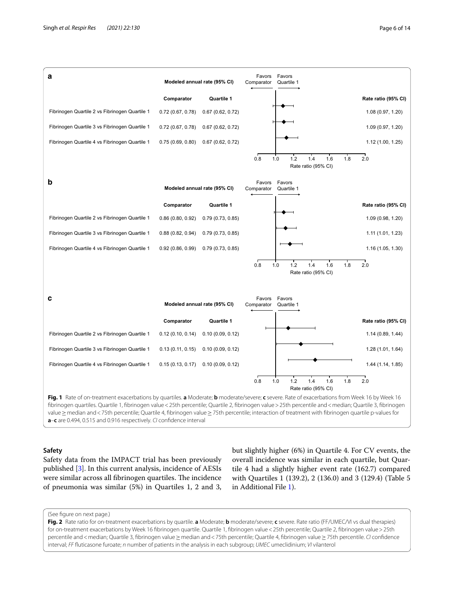

#### <span id="page-5-0"></span>**a**–**c** are 0.494, 0.515 and 0.916 respectively. *CI* confdence interval

## **Safety**

Safety data from the IMPACT trial has been previously published [\[3](#page-12-2)]. In this current analysis, incidence of AESIs were similar across all fibrinogen quartiles. The incidence of pneumonia was similar (5%) in Quartiles 1, 2 and 3, but slightly higher (6%) in Quartile 4. For CV events, the overall incidence was similar in each quartile, but Quartile 4 had a slightly higher event rate (162.7) compared with Quartiles 1 (139.2), 2 (136.0) and 3 (129.4) (Table 5 in Additional File [1\)](#page-11-0).

## (See fgure on next page.)

<span id="page-5-1"></span>**Fig. 2** Rate ratio for on-treatment exacerbations by quartile. **a** Moderate; **b** moderate/severe; **c** severe. Rate ratio (FF/UMEC/VI vs dual therapies) for on-treatment exacerbations by Week 16 fbrinogen quartile. Quartile 1, fbrinogen value<25th percentile; Quartile 2, fbrinogen value>25th percentile and<median; Quartile 3, fibrinogen value≥median and<75th percentile; Quartile 4, fibrinogen value≥75th percentile. *CI* confidence interval; *FF* futicasone furoate; *n* number of patients in the analysis in each subgroup; *UMEC* umeclidinium; *VI* vilanterol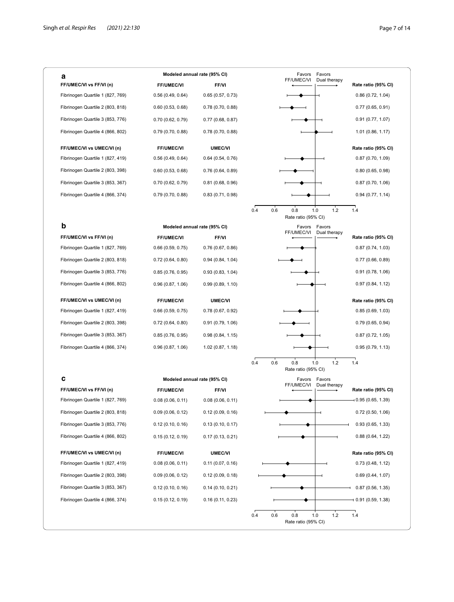| а                                |                     | Modeled annual rate (95% CI) |     | Favors                            | Favors       |                     |
|----------------------------------|---------------------|------------------------------|-----|-----------------------------------|--------------|---------------------|
| FF/UMEC/VI vs FF/VI (n)          | <b>FF/UMEC/VI</b>   | <b>FF/VI</b>                 |     | FF/UMEC/VI                        | Dual therapy | Rate ratio (95% CI) |
| Fibrinogen Quartile 1 (827, 769) | 0.56(0.49, 0.64)    | 0.65(0.57, 0.73)             |     |                                   |              | 0.86(0.72, 1.04)    |
| Fibrinogen Quartile 2 (803, 818) | 0.60(0.53, 0.68)    | 0.78(0.70, 0.88)             |     |                                   |              | 0.77(0.65, 0.91)    |
| Fibrinogen Quartile 3 (853, 776) | 0.70(0.62, 0.79)    | 0.77(0.68, 0.87)             |     |                                   |              | 0.91(0.77, 1.07)    |
| Fibrinogen Quartile 4 (866, 802) | 0.79(0.70, 0.88)    | 0.78(0.70, 0.88)             |     |                                   |              | 1.01 (0.86, 1.17)   |
| FF/UMEC/VI vs UMEC/VI (n)        | <b>FF/UMEC/VI</b>   | <b>UMEC/VI</b>               |     |                                   |              | Rate ratio (95% CI) |
| Fibrinogen Quartile 1 (827, 419) | 0.56(0.49, 0.64)    | 0.64(0.54, 0.76)             |     |                                   |              | 0.87(0.70, 1.09)    |
| Fibrinogen Quartile 2 (803, 398) | 0.60(0.53, 0.68)    | 0.76(0.64, 0.89)             |     |                                   |              | 0.80(0.65, 0.98)    |
| Fibrinogen Quartile 3 (853, 367) | 0.70(0.62, 0.79)    | 0.81 (0.68, 0.96)            |     |                                   |              | 0.87(0.70, 1.06)    |
| Fibrinogen Quartile 4 (866, 374) | 0.79(0.70, 0.88)    | 0.83(0.71, 0.98)             |     |                                   |              | 0.94(0.77, 1.14)    |
|                                  |                     |                              | 0.4 | 0.6<br>0.8<br>Rate ratio (95% CI) | 1.2<br>1.0   | 1.4                 |
| b                                |                     | Modeled annual rate (95% CI) |     | Favors                            | Favors       |                     |
| FF/UMEC/VI vs FF/VI (n)          | <b>FF/UMEC/VI</b>   | <b>FF/VI</b>                 |     | FF/UMEC/VI                        | Dual therapy | Rate ratio (95% CI) |
| Fibrinogen Quartile 1 (827, 769) | 0.66(0.59, 0.75)    | 0.76(0.67, 0.86)             |     |                                   |              | 0.87(0.74, 1.03)    |
| Fibrinogen Quartile 2 (803, 818) | 0.72(0.64, 0.80)    | 0.94(0.84, 1.04)             |     |                                   |              | 0.77(0.66, 0.89)    |
| Fibrinogen Quartile 3 (853, 776) | 0.85(0.76, 0.95)    | 0.93(0.83, 1.04)             |     |                                   |              | 0.91(0.78, 1.06)    |
| Fibrinogen Quartile 4 (866, 802) | 0.96(0.87, 1.06)    | 0.99(0.89, 1.10)             |     |                                   |              | 0.97(0.84, 1.12)    |
| FF/UMEC/VI vs UMEC/VI (n)        | <b>FF/UMEC/VI</b>   | <b>UMEC/VI</b>               |     |                                   |              | Rate ratio (95% CI) |
| Fibrinogen Quartile 1 (827, 419) | $0.66$ (0.59, 0.75) | 0.78(0.67, 0.92)             |     |                                   |              | 0.85(0.69, 1.03)    |
| Fibrinogen Quartile 2 (803, 398) | 0.72(0.64, 0.80)    | 0.91(0.79, 1.06)             |     |                                   |              | 0.79(0.65, 0.94)    |
| Fibrinogen Quartile 3 (853, 367) | 0.85(0.76, 0.95)    | 0.98(0.84, 1.15)             |     |                                   |              | 0.87(0.72, 1.05)    |
| Fibrinogen Quartile 4 (866, 374) | 0.96(0.87, 1.06)    | 1.02 (0.87, 1.18)            |     |                                   |              | 0.95(0.79, 1.13)    |
|                                  |                     |                              | 0.4 | 0.6<br>0.8<br>Rate ratio (95% CI) | 1.0<br>1.2   | 1.4                 |
| c                                |                     | Modeled annual rate (95% CI) |     | Favors                            | Favors       |                     |
| FF/UMEC/VI vs FF/VI (n)          | <b>FF/UMEC/VI</b>   | <b>FF/VI</b>                 |     | FF/UMEC/VI                        | Dual therapy | Rate ratio (95% CI) |
| Fibrinogen Quartile 1 (827, 769) | 0.08(0.06, 0.11)    | 0.08(0.06, 0.11)             |     |                                   |              | - 0.95 (0.65, 1.39) |
| Fibrinogen Quartile 2 (803, 818) | 0.09(0.06, 0.12)    | 0.12(0.09, 0.16)             |     |                                   |              | 0.72(0.50, 1.06)    |
| Fibrinogen Quartile 3 (853, 776) | 0.12(0.10, 0.16)    | 0.13(0.10, 0.17)             |     |                                   |              | 0.93(0.65, 1.33)    |
| Fibrinogen Quartile 4 (866, 802) | 0.15(0.12, 0.19)    | 0.17(0.13, 0.21)             |     |                                   |              | 0.88(0.64, 1.22)    |
|                                  | <b>FF/UMEC/VI</b>   | <b>UMEC/VI</b>               |     |                                   |              | Rate ratio (95% CI) |
| FF/UMEC/VI vs UMEC/VI (n)        | 0.08(0.06, 0.11)    | 0.11(0.07, 0.16)             |     |                                   |              | 0.73(0.48, 1.12)    |
| Fibrinogen Quartile 1 (827, 419) |                     |                              |     |                                   |              |                     |
| Fibrinogen Quartile 2 (803, 398) | 0.09(0.06, 0.12)    | 0.12(0.09, 0.18)             |     |                                   |              | 0.69(0.44, 1.07)    |
| Fibrinogen Quartile 3 (853, 367) | 0.12(0.10, 0.16)    | 0.14(0.10, 0.21)             |     |                                   |              | 0.87(0.56, 1.35)    |
| Fibrinogen Quartile 4 (866, 374) | 0.15(0.12, 0.19)    | 0.16(0.11, 0.23)             |     |                                   |              | $-0.91(0.59, 1.38)$ |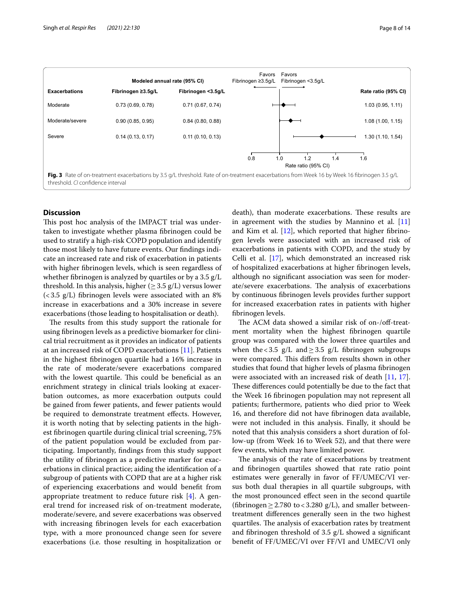

## <span id="page-7-0"></span>**Discussion**

This post hoc analysis of the IMPACT trial was undertaken to investigate whether plasma fbrinogen could be used to stratify a high-risk COPD population and identify those most likely to have future events. Our fndings indicate an increased rate and risk of exacerbation in patients with higher fbrinogen levels, which is seen regardless of whether fbrinogen is analyzed by quartiles or by a 3.5 g/L threshold. In this analysis, higher ( $\geq$  3.5 g/L) versus lower  $(<$ 3.5 g/L) fibrinogen levels were associated with an 8% increase in exacerbations and a 30% increase in severe exacerbations (those leading to hospitalisation or death).

The results from this study support the rationale for using fbrinogen levels as a predictive biomarker for clinical trial recruitment as it provides an indicator of patients at an increased risk of COPD exacerbations [\[11\]](#page-12-9). Patients in the highest fbrinogen quartile had a 16% increase in the rate of moderate/severe exacerbations compared with the lowest quartile. This could be beneficial as an enrichment strategy in clinical trials looking at exacerbation outcomes, as more exacerbation outputs could be gained from fewer patients, and fewer patients would be required to demonstrate treatment efects. However, it is worth noting that by selecting patients in the highest fbrinogen quartile during clinical trial screening, 75% of the patient population would be excluded from participating. Importantly, fndings from this study support the utility of fbrinogen as a predictive marker for exacerbations in clinical practice; aiding the identifcation of a subgroup of patients with COPD that are at a higher risk of experiencing exacerbations and would beneft from appropriate treatment to reduce future risk [\[4](#page-12-3)]. A general trend for increased risk of on-treatment moderate, moderate/severe, and severe exacerbations was observed with increasing fbrinogen levels for each exacerbation type, with a more pronounced change seen for severe exacerbations (i.e. those resulting in hospitalization or death), than moderate exacerbations. These results are in agreement with the studies by Mannino et al.  $[11]$  $[11]$  $[11]$ and Kim et al.  $[12]$  $[12]$  $[12]$ , which reported that higher fibrinogen levels were associated with an increased risk of exacerbations in patients with COPD, and the study by Celli et al. [\[17](#page-13-0)], which demonstrated an increased risk of hospitalized exacerbations at higher fbrinogen levels, although no signifcant association was seen for moderate/severe exacerbations. The analysis of exacerbations by continuous fbrinogen levels provides further support for increased exacerbation rates in patients with higher fbrinogen levels.

The ACM data showed a similar risk of on-/off-treatment mortality when the highest fbrinogen quartile group was compared with the lower three quartiles and when the <3.5  $g/L$  and  $\geq$ 3.5  $g/L$  fibrinogen subgroups were compared. This differs from results shown in other studies that found that higher levels of plasma fbrinogen were associated with an increased risk of death [\[11,](#page-12-9) [17](#page-13-0)]. These differences could potentially be due to the fact that the Week 16 fbrinogen population may not represent all patients; furthermore, patients who died prior to Week 16, and therefore did not have fbrinogen data available, were not included in this analysis. Finally, it should be noted that this analysis considers a short duration of follow-up (from Week 16 to Week 52), and that there were few events, which may have limited power.

The analysis of the rate of exacerbations by treatment and fbrinogen quartiles showed that rate ratio point estimates were generally in favor of FF/UMEC/VI versus both dual therapies in all quartile subgroups, with the most pronounced efect seen in the second quartile (fibrinogen  $\geq$  2.780 to < 3.280 g/L), and smaller betweentreatment diferences generally seen in the two highest quartiles. The analysis of exacerbation rates by treatment and fbrinogen threshold of 3.5 g/L showed a signifcant beneft of FF/UMEC/VI over FF/VI and UMEC/VI only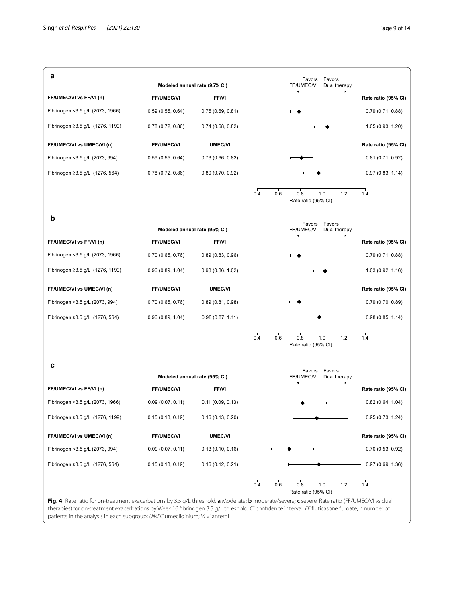

<span id="page-8-0"></span>therapies) for on-treatment exacerbations by Week 16 fbrinogen 3.5 g/L threshold. *CI* confdence interval; *FF* futicasone furoate; *n* number of patients in the analysis in each subgroup; *UMEC* umeclidinium; *VI* vilanterol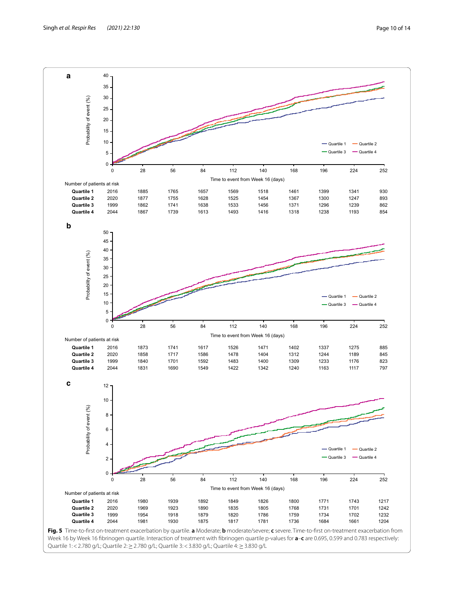

<span id="page-9-0"></span>Week 16 by Week 16 fbrinogen quartile. Interaction of treatment with fbrinogen quartile p-values for **a**–**c** are 0.695, 0.599 and 0.783 respectively: Quartile 1: < 2.780 g/L; Quartile 2: ≥ 2.780 g/L; Quartile 3: < 3.830 g/L; Quartile 4: ≥ 3.830 g/L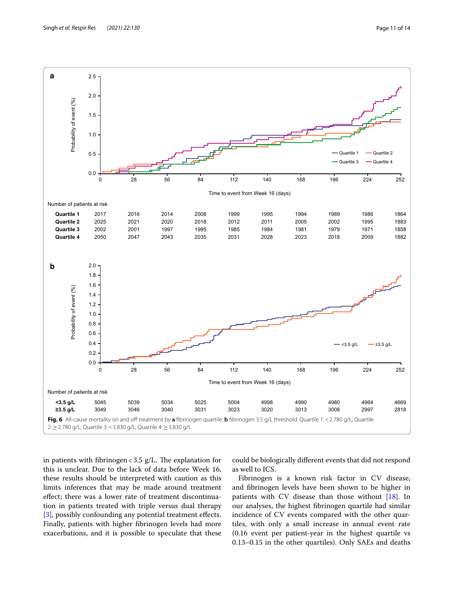

<span id="page-10-0"></span>in patients with fibrinogen <  $3.5$  g/L. The explanation for this is unclear. Due to the lack of data before Week 16, these results should be interpreted with caution as this limits inferences that may be made around treatment efect; there was a lower rate of treatment discontinuation in patients treated with triple versus dual therapy [[3\]](#page-12-2), possibly confounding any potential treatment effects. Finally, patients with higher fbrinogen levels had more exacerbations, and it is possible to speculate that these

could be biologically diferent events that did not respond as well to ICS.

Fibrinogen is a known risk factor in CV disease, and fbrinogen levels have been shown to be higher in patients with CV disease than those without [[18](#page-13-1)]. In our analyses, the highest fbrinogen quartile had similar incidence of CV events compared with the other quartiles, with only a small increase in annual event rate (0.16 event per patient-year in the highest quartile vs 0.13–0.15 in the other quartiles). Only SAEs and deaths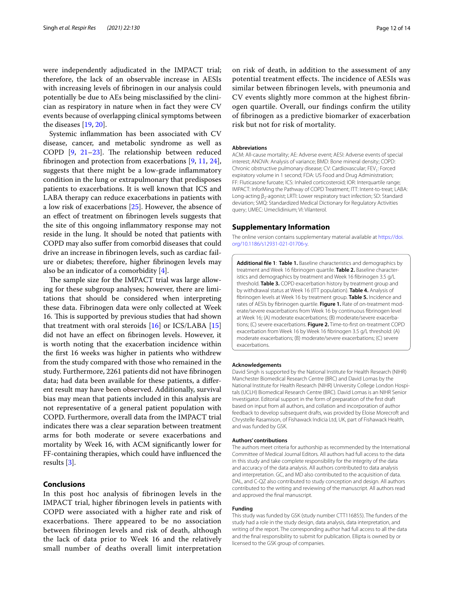were independently adjudicated in the IMPACT trial; therefore, the lack of an observable increase in AESIs with increasing levels of fbrinogen in our analysis could potentially be due to AEs being misclassifed by the clinician as respiratory in nature when in fact they were CV events because of overlapping clinical symptoms between the diseases [[19](#page-13-2), [20\]](#page-13-3).

Systemic infammation has been associated with CV disease, cancer, and metabolic syndrome as well as COPD  $[9, 21-23]$  $[9, 21-23]$  $[9, 21-23]$  $[9, 21-23]$  $[9, 21-23]$ . The relationship between reduced fbrinogen and protection from exacerbations [\[9](#page-12-7), [11](#page-12-9), [24](#page-13-6)], suggests that there might be a low-grade infammatory condition in the lung or extrapulmonary that predisposes patients to exacerbations. It is well known that ICS and LABA therapy can reduce exacerbations in patients with a low risk of exacerbations [\[25](#page-13-7)]. However, the absence of an efect of treatment on fbrinogen levels suggests that the site of this ongoing infammatory response may not reside in the lung. It should be noted that patients with COPD may also sufer from comorbid diseases that could drive an increase in fbrinogen levels, such as cardiac failure or diabetes; therefore, higher fbrinogen levels may also be an indicator of a comorbidity [\[4](#page-12-3)].

The sample size for the IMPACT trial was large allowing for these subgroup analyses; however, there are limitations that should be considered when interpreting these data. Fibrinogen data were only collected at Week 16. This is supported by previous studies that had shown that treatment with oral steroids  $[16]$  $[16]$  or ICS/LABA  $[15]$  $[15]$  $[15]$ did not have an efect on fbrinogen levels. However, it is worth noting that the exacerbation incidence within the frst 16 weeks was higher in patients who withdrew from the study compared with those who remained in the study. Furthermore, 2261 patients did not have fbrinogen data; had data been available for these patients, a diferent result may have been observed. Additionally, survival bias may mean that patients included in this analysis are not representative of a general patient population with COPD. Furthermore, overall data from the IMPACT trial indicates there was a clear separation between treatment arms for both moderate or severe exacerbations and mortality by Week 16, with ACM signifcantly lower for FF-containing therapies, which could have infuenced the results [\[3](#page-12-2)].

## **Conclusions**

In this post hoc analysis of fbrinogen levels in the IMPACT trial, higher fbrinogen levels in patients with COPD were associated with a higher rate and risk of exacerbations. There appeared to be no association between fbrinogen levels and risk of death, although the lack of data prior to Week 16 and the relatively small number of deaths overall limit interpretation

on risk of death, in addition to the assessment of any potential treatment effects. The incidence of AESIs was similar between fbrinogen levels, with pneumonia and CV events slightly more common at the highest fbrinogen quartile. Overall, our fndings confrm the utility of fbrinogen as a predictive biomarker of exacerbation risk but not for risk of mortality.

#### **Abbreviations**

ACM: All-cause mortality; AE: Adverse event; AESI: Adverse events of special interest; ANOVA: Analysis of variance; BMD: Bone mineral density; COPD: Chronic obstructive pulmonary disease; CV: Cardiovascular; FEV<sub>1</sub>: Forced expiratory volume in 1 second; FDA: US Food and Drug Administration; FF: Fluticasone furoate; ICS: Inhaled corticosteroid; IOR: Interquartile range; IMPACT: InforMing the Pathway of COPD Treatment; ITT: Intent-to-treat; LABA: Long-acting β<sub>2</sub>-agonist; LRTI: Lower respiratory tract infection; SD: Standard deviation; SMQ: Standardized Medical Dictionary for Regulatory Activities query; UMEC: Umeclidinium; VI: Vilanterol.

#### **Supplementary Information**

The online version contains supplementary material available at [https://doi.](https://doi.org/10.1186/s12931-021-01706-y) [org/10.1186/s12931-021-01706-y.](https://doi.org/10.1186/s12931-021-01706-y)

<span id="page-11-0"></span>**Additional fle 1**: **Table 1.** Baseline characteristics and demographics by treatment and Week 16 fbrinogen quartile. **Table 2.** Baseline character‑ istics and demographics by treatment and Week 16 fbrinogen 3.5 g/L threshold. **Table 3.** COPD exacerbation history by treatment group and by withdrawal status at Week 16 (ITT population). **Table 4.** Analysis of fbrinogen levels at Week 16 by treatment group. **Table 5.** Incidence and rates of AESIs by fibrinogen quartile. Figure 1. Rate of on-treatment moderate/severe exacerbations from Week 16 by continuous fbrinogen level at Week 16; (A) moderate exacerbations; (B) moderate/severe exacerbations; (C) severe exacerbations. **Figure 2.** Time-to-frst on-treatment COPD exacerbation from Week 16 by Week 16 fbrinogen 3.5 g/L threshold: (A) moderate exacerbations; (B) moderate/severe exacerbations; (C) severe exacerbations.

#### **Acknowledgements**

David Singh is supported by the National Institute for Health Research (NIHR) Manchester Biomedical Research Centre (BRC) and David Lomas by the National Institute for Health Research (NIHR) University College London Hospitals (UCLH) Biomedical Research Centre (BRC). David Lomas is an NIHR Senior Investigator. Editorial support in the form of preparation of the frst draft based on input from all authors, and collation and incorporation of author feedback to develop subsequent drafts, was provided by Eloise Morecroft and Chrystelle Rasamison, of Fishawack Indicia Ltd, UK, part of Fishawack Health, and was funded by GSK.

#### **Authors' contributions**

The authors meet criteria for authorship as recommended by the International Committee of Medical Journal Editors. All authors had full access to the data in this study and take complete responsibility for the integrity of the data and accuracy of the data analysis. All authors contributed to data analysis and interpretation. GC, and MD also contributed to the acquisition of data. DAL, and C-QZ also contributed to study conception and design. All authors contributed to the writing and reviewing of the manuscript. All authors read and approved the fnal manuscript.

#### **Funding**

This study was funded by GSK (study number CTT116855). The funders of the study had a role in the study design, data analysis, data interpretation, and writing of the report. The corresponding author had full access to all the data and the fnal responsibility to submit for publication. Ellipta is owned by or licensed to the GSK group of companies.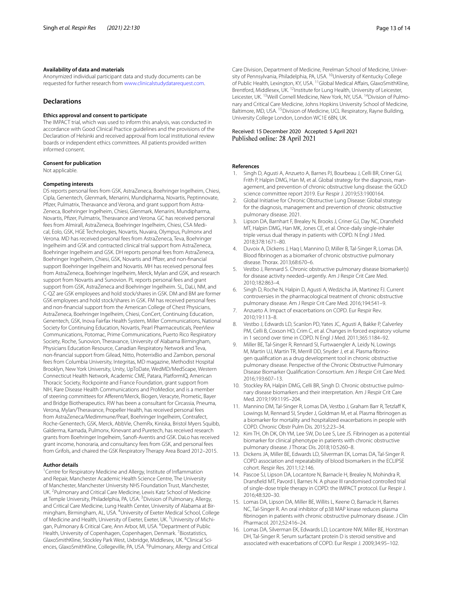#### **Availability of data and materials**

Anonymized individual participant data and study documents can be requested for further research from [www.clinicalstudydatarequest.com.](http://www.clinicalstudydatarequest.com)

### **Declarations**

#### **Ethics approval and consent to participate**

The IMPACT trial, which was used to inform this analysis, was conducted in accordance with Good Clinical Practice guidelines and the provisions of the Declaration of Helsinki and received approval from local institutional review boards or independent ethics committees. All patients provided written informed consent.

## **Consent for publication**

Not applicable.

#### **Competing interests**

DS reports personal fees from GSK, AstraZeneca, Boehringer Ingelheim, Chiesi, Cipla, Genentech, Glenmark, Menarini, Mundipharma, Novartis, Peptinnovate, Pfizer, Pulmatrix, Theravance and Verona, and grant support from Astra-Zeneca, Boehringer Ingelheim, Chiesi, Glenmark, Menarini, Mundipharma, Novartis, Pfzer, Pulmatrix, Theravance and Verona. GC has received personal fees from Almirall, AstraZeneca, Boehringer Ingelheim, Chiesi, CSA Medical, Eolo, GSK, HGE Technologies, Novartis, Nuvaira, Olympus, Pulmonx and Verona. MD has received personal fees from AstraZeneca, Teva, Boehringer Ingelheim and GSK and contracted clinical trial support from AstraZeneca, Boehringer Ingelheim and GSK. DH reports personal fees from AstraZeneca, Boehringer Ingelheim, Chiesi, GSK, Novartis and Pfzer, and non-fnancial support Boehringer Ingelheim and Novartis. MH has received personal fees from AstraZeneca, Boehringer Ingelheim, Merck, Mylan and GSK, and research support from Novartis and Sunovion. PL reports personal fees and grant support from GSK, AstraZeneca and Boehringer Ingelheim. SL, DaLi, NM, and C-QZ are GSK employees and hold stock/shares in GSK. DM and BM are former GSK employees and hold stock/shares in GSK. FM has received personal fees and non-fnancial support from the American College of Chest Physicians, AstraZeneca, Boehringer Ingelheim, Chiesi, ConCert, Continuing Education, Genentech, GSK, Inova Fairfax Health System, Miller Communications, National Society for Continuing Education, Novartis, Pearl Pharmaceuticals, PeerView Communications, Potomac, Prime Communications, Puerto Rico Respiratory Society, Roche, Sunovion, Theravance, University of Alabama Birmingham, Physicians Education Resource, Canadian Respiratory Network and Teva, non-fnancial support from Gilead, Nitto, ProterrixBio and Zambon, personal fees from Columbia University, Integritas, MD magazine, Methodist Hospital Brooklyn, New York University, Unity, UpToDate, WedMD/MedScape, Western Connecticut Health Network, Academic CME, Patara, PlatformIQ, American Thoracic Society, Rockpointe and France Foundation, grant support from NIH, Rare Disease Health Communications and ProMedior, and is a member of steering committees for Aferent/Merck, Biogen, Veracyte, Prometic, Bayer and Bridge Biotherapeutics. RW has been a consultant for Circassia, Pneuma, Verona, Mylan/Theravance, Propeller Health, has received personal fees from AstraZeneca/Medimmune/Pearl, Boehringer Ingelheim, Contrafect, Roche-Genentech, GSK, Merck, AbbVie, ChemRx, Kiniska, Bristol Myers Squibb, Galderma, Kamada, Pulmonx, Kinevant and Puretech, has received research grants from Boehringer Ingelheim, Sanof-Aventis and GSK. DaLo has received grant income, honoraria, and consultancy fees from GSK, and personal fees from Grifols, and chaired the GSK Respiratory Therapy Area Board 2012–2015.

#### **Author details**

<sup>1</sup> Centre for Respiratory Medicine and Allergy, Institute of Inflammation and Repair, Manchester Academic Health Science Centre, The University of Manchester, Manchester University NHS Foundation Trust, Manchester, UK.<sup>2</sup> Pulmonary and Critical Care Medicine, Lewis Katz School of Medicine at Temple University, Philadelphia, PA, USA. <sup>3</sup> Division of Pulmonary, Allergy, and Critical Care Medicine, Lung Health Center, University of Alabama at Birmingham, Birmingham, AL, USA. <sup>4</sup>University of Exeter Medical School, College of Medicine and Health, University of Exeter, Exeter, UK. <sup>5</sup> University of Michigan, Pulmonary & Critical Care, Ann Arbor, MI, USA. <sup>6</sup>Department of Public Health, University of Copenhagen, Copenhagen, Denmark.<sup>7</sup> Biostatistics, GlaxoSmithKline, Stockley Park West, Uxbridge, Middlesex, UK. <sup>8</sup>Clinical Sciences, GlaxoSmithKline, Collegeville, PA, USA. <sup>9</sup>Pulmonary, Allergy and Critical

Care Division, Department of Medicine, Perelman School of Medicine, University of Pennsylvania, Philadelphia, PA, USA. <sup>10</sup>University of Kentucky College of Public Health, Lexington, KY, USA. 11Global Medical Afairs, GlaxoSmithKline, Brentford, Middlesex, UK.<sup>12</sup>Institute for Lung Health, University of Leicester, Leicester, UK. <sup>13</sup> Weill Cornell Medicine, New York, NY, USA. <sup>14</sup> Division of Pulmonary and Critical Care Medicine, Johns Hopkins University School of Medicine, Baltimore, MD, USA. <sup>15</sup> Division of Medicine, UCL Respiratory, Rayne Building, University College London, London WC1E 6BN, UK.

#### Received: 15 December 2020 Accepted: 5 April 2021 Published online: 28 April 2021

#### **References**

- <span id="page-12-0"></span>1. Singh D, Agusti A, Anzueto A, Barnes PJ, Bourbeau J, Celli BR, Criner GJ, Frith P, Halpin DMG, Han M, et al. Global strategy for the diagnosis, management, and prevention of chronic obstructive lung disease: the GOLD science committee report 2019. Eur Respir J. 2019;53:1900164.
- <span id="page-12-1"></span>2. Global Initiative for Chronic Obstructive Lung Disease: Global strategy for the diagnosis, management and prevention of chronic obstructive pulmonary disease. 2021.
- <span id="page-12-2"></span>3. Lipson DA, Barnhart F, Brealey N, Brooks J, Criner GJ, Day NC, Dransfeld MT, Halpin DMG, Han MK, Jones CE, et al. Once-daily single-inhaler triple versus dual therapy in patients with COPD. N Engl J Med. 2018;378:1671–80.
- <span id="page-12-3"></span>4. Duvoix A, Dickens J, Haq I, Mannino D, Miller B, Tal-Singer R, Lomas DA. Blood fbrinogen as a biomarker of chronic obstructive pulmonary disease. Thorax. 2013;68:670–6.
- 5. Vestbo J, Rennard S. Chronic obstructive pulmonary disease biomarker(s) for disease activity needed–urgently. Am J Respir Crit Care Med. 2010;182:863–4.
- <span id="page-12-4"></span>6. Singh D, Roche N, Halpin D, Agusti A, Wedzicha JA, Martinez FJ. Current controversies in the pharmacological treatment of chronic obstructive pulmonary disease. Am J Respir Crit Care Med. 2016;194:541–9.
- <span id="page-12-5"></span>7. Anzueto A. Impact of exacerbations on COPD. Eur Respir Rev. 2010;19:113–8.
- <span id="page-12-6"></span>8. Vestbo J, Edwards LD, Scanlon PD, Yates JC, Agusti A, Bakke P, Calverley PM, Celli B, Coxson HO, Crim C, et al. Changes in forced expiratory volume in 1 second over time in COPD. N Engl J Med. 2011;365:1184–92.
- <span id="page-12-7"></span>9. Miller BE, Tal-Singer R, Rennard SI, Furtwaengler A, Leidy N, Lowings M, Martin UJ, Martin TR, Merrill DD, Snyder J, et al. Plasma fibrinogen qualifcation as a drug development tool in chronic obstructive pulmonary disease. Perspective of the Chronic Obstructive Pulmonary Disease Biomarker Qualifcation Consortium. Am J Respir Crit Care Med. 2016;193:607–13.
- <span id="page-12-8"></span>10. Stockley RA, Halpin DMG, Celli BR, Singh D. Chronic obstructive pulmonary disease biomarkers and their interpretation. Am J Respir Crit Care Med. 2019;199:1195–204.
- <span id="page-12-9"></span>11. Mannino DM, Tal-Singer R, Lomas DA, Vestbo J, Graham Barr R, Tetzlaff K, Lowings M, Rennard SI, Snyder J, Goldman M, et al. Plasma fibrinogen as a biomarker for mortality and hospitalized exacerbations in people with COPD. Chronic Obstr Pulm Dis. 2015;2:23–34.
- <span id="page-12-10"></span>12. Kim TH, Oh DK, Oh YM, Lee SW, Do Lee S, Lee JS. Fibrinogen as a potential biomarker for clinical phenotype in patients with chronic obstructive pulmonary disease. J Thorac Dis. 2018;10:5260–8.
- <span id="page-12-11"></span>13. Dickens JA, Miller BE, Edwards LD, Silverman EK, Lomas DA, Tal-Singer R. COPD association and repeatability of blood biomarkers in the ECLIPSE cohort. Respir Res. 2011;12:146.
- <span id="page-12-12"></span>14. Pascoe SJ, Lipson DA, Locantore N, Barnacle H, Brealey N, Mohindra R, Dransfeld MT, Pavord I, Barnes N. A phase III randomised controlled trial of single-dose triple therapy in COPD: the IMPACT protocol. Eur Respir J. 2016;48:320–30.
- <span id="page-12-13"></span>15. Lomas DA, Lipson DA, Miller BE, Willits L, Keene O, Barnacle H, Barnes NC, Tal-Singer R. An oral inhibitor of p38 MAP kinase reduces plasma fbrinogen in patients with chronic obstructive pulmonary disease. J Clin Pharmacol. 2012;52:416–24.
- <span id="page-12-14"></span>16. Lomas DA, Silverman EK, Edwards LD, Locantore NW, Miller BE, Horstman DH, Tal-Singer R. Serum surfactant protein D is steroid sensitive and associated with exacerbations of COPD. Eur Respir J. 2009;34:95–102.